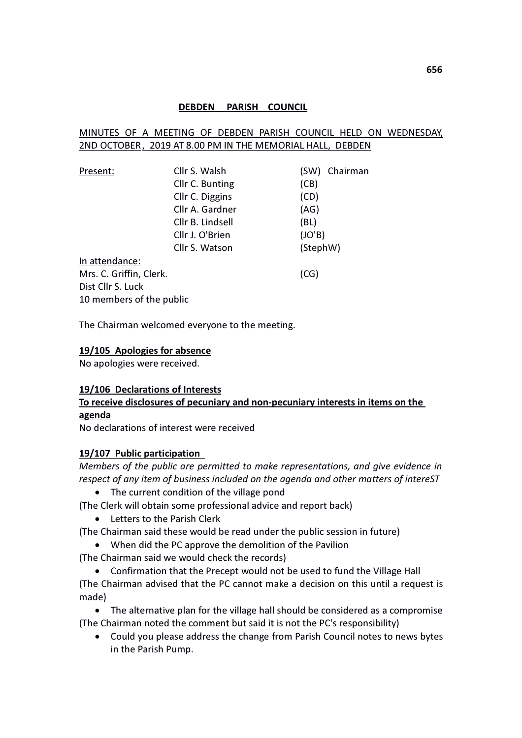#### DEBDEN PARISH COUNCIL

### MINUTES OF A MEETING OF DEBDEN PARISH COUNCIL HELD ON WEDNESDAY, 2ND OCTOBER, 2019 AT 8.00 PM IN THE MEMORIAL HALL, DEBDEN

| Present:                 | Cllr S. Walsh    | Chairman<br>(SW) |
|--------------------------|------------------|------------------|
|                          | Cllr C. Bunting  | (CB)             |
|                          | Cllr C. Diggins  | (CD)             |
|                          | Cllr A. Gardner  | (AG)             |
|                          | Cllr B. Lindsell | (BL)             |
|                          | Cllr J. O'Brien  | (JO'B)           |
|                          | Cllr S. Watson   | (StephW)         |
| In attendance:           |                  |                  |
| Mrs. C. Griffin, Clerk.  |                  | (CG)             |
| Dist Cllr S. Luck        |                  |                  |
| 10 members of the public |                  |                  |

The Chairman welcomed everyone to the meeting.

#### 19/105 Apologies for absence

No apologies were received.

#### 19/106 Declarations of Interests

# To receive disclosures of pecuniary and non-pecuniary interests in items on the agenda

No declarations of interest were received

#### 19/107 Public participation

Members of the public are permitted to make representations, and give evidence in respect of any item of business included on the agenda and other matters of intereST

- The current condition of the village pond
- (The Clerk will obtain some professional advice and report back)
	- Letters to the Parish Clerk
- (The Chairman said these would be read under the public session in future)
	- When did the PC approve the demolition of the Pavilion
- (The Chairman said we would check the records)

 Confirmation that the Precept would not be used to fund the Village Hall (The Chairman advised that the PC cannot make a decision on this until a request is made)

 The alternative plan for the village hall should be considered as a compromise (The Chairman noted the comment but said it is not the PC's responsibility)

 Could you please address the change from Parish Council notes to news bytes in the Parish Pump.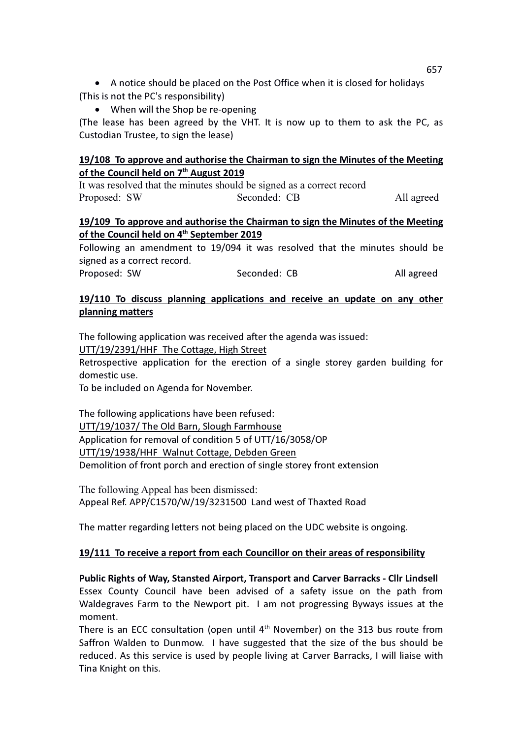A notice should be placed on the Post Office when it is closed for holidays (This is not the PC's responsibility)

• When will the Shop be re-opening

(The lease has been agreed by the VHT. It is now up to them to ask the PC, as Custodian Trustee, to sign the lease)

### 19/108 To approve and authorise the Chairman to sign the Minutes of the Meeting of the Council held on 7<sup>th</sup> August 2019

It was resolved that the minutes should be signed as a correct record Proposed: SW Seconded: CB All agreed

### 19/109 To approve and authorise the Chairman to sign the Minutes of the Meeting of the Council held on 4<sup>th</sup> September 2019

Following an amendment to 19/094 it was resolved that the minutes should be signed as a correct record.

Proposed: SW Seconded: CB All agreed

## 19/110 To discuss planning applications and receive an update on any other planning matters

The following application was received after the agenda was issued:

UTT/19/2391/HHF The Cottage, High Street

Retrospective application for the erection of a single storey garden building for domestic use.

To be included on Agenda for November.

The following applications have been refused: UTT/19/1037/ The Old Barn, Slough Farmhouse Application for removal of condition 5 of UTT/16/3058/OP UTT/19/1938/HHF Walnut Cottage, Debden Green Demolition of front porch and erection of single storey front extension

The following Appeal has been dismissed: Appeal Ref. APP/C1570/W/19/3231500 Land west of Thaxted Road

The matter regarding letters not being placed on the UDC website is ongoing.

### 19/111 To receive a report from each Councillor on their areas of responsibility

Public Rights of Way, Stansted Airport, Transport and Carver Barracks - Cllr Lindsell Essex County Council have been advised of a safety issue on the path from Waldegraves Farm to the Newport pit. I am not progressing Byways issues at the moment.

There is an ECC consultation (open until  $4<sup>th</sup>$  November) on the 313 bus route from Saffron Walden to Dunmow. I have suggested that the size of the bus should be reduced. As this service is used by people living at Carver Barracks, I will liaise with Tina Knight on this.

657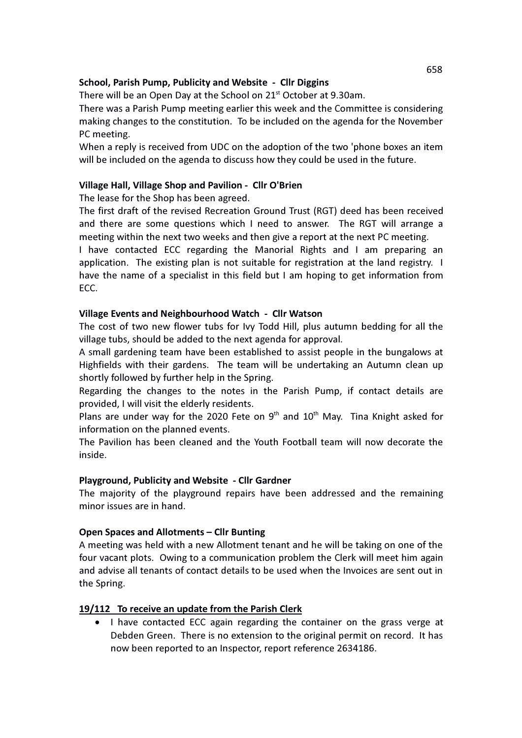### School, Parish Pump, Publicity and Website - Cllr Diggins

There will be an Open Day at the School on 21<sup>st</sup> October at 9.30am.

There was a Parish Pump meeting earlier this week and the Committee is considering making changes to the constitution. To be included on the agenda for the November PC meeting.

When a reply is received from UDC on the adoption of the two 'phone boxes an item will be included on the agenda to discuss how they could be used in the future.

### Village Hall, Village Shop and Pavilion - Cllr O'Brien

The lease for the Shop has been agreed.

The first draft of the revised Recreation Ground Trust (RGT) deed has been received and there are some questions which I need to answer. The RGT will arrange a meeting within the next two weeks and then give a report at the next PC meeting.

I have contacted ECC regarding the Manorial Rights and I am preparing an application. The existing plan is not suitable for registration at the land registry. I have the name of a specialist in this field but I am hoping to get information from ECC.

### Village Events and Neighbourhood Watch - Cllr Watson

The cost of two new flower tubs for Ivy Todd Hill, plus autumn bedding for all the village tubs, should be added to the next agenda for approval.

A small gardening team have been established to assist people in the bungalows at Highfields with their gardens. The team will be undertaking an Autumn clean up shortly followed by further help in the Spring.

Regarding the changes to the notes in the Parish Pump, if contact details are provided, I will visit the elderly residents.

Plans are under way for the 2020 Fete on  $9<sup>th</sup>$  and  $10<sup>th</sup>$  May. Tina Knight asked for information on the planned events.

The Pavilion has been cleaned and the Youth Football team will now decorate the inside.

### Playground, Publicity and Website - Cllr Gardner

The majority of the playground repairs have been addressed and the remaining minor issues are in hand.

#### Open Spaces and Allotments – Cllr Bunting

A meeting was held with a new Allotment tenant and he will be taking on one of the four vacant plots. Owing to a communication problem the Clerk will meet him again and advise all tenants of contact details to be used when the Invoices are sent out in the Spring.

#### 19/112 To receive an update from the Parish Clerk

• I have contacted ECC again regarding the container on the grass verge at Debden Green. There is no extension to the original permit on record. It has now been reported to an Inspector, report reference 2634186.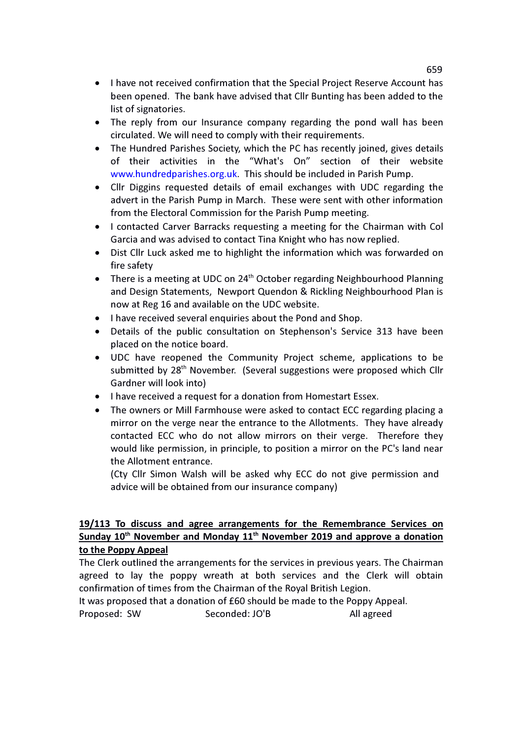- I have not received confirmation that the Special Project Reserve Account has been opened. The bank have advised that Cllr Bunting has been added to the list of signatories.
- The reply from our Insurance company regarding the pond wall has been circulated. We will need to comply with their requirements.
- The Hundred Parishes Society, which the PC has recently joined, gives details of their activities in the "What's On" section of their website www.hundredparishes.org.uk. This should be included in Parish Pump.
- Cllr Diggins requested details of email exchanges with UDC regarding the advert in the Parish Pump in March. These were sent with other information from the Electoral Commission for the Parish Pump meeting.
- I contacted Carver Barracks requesting a meeting for the Chairman with Col Garcia and was advised to contact Tina Knight who has now replied.
- Dist Cllr Luck asked me to highlight the information which was forwarded on fire safety
- There is a meeting at UDC on  $24<sup>th</sup>$  October regarding Neighbourhood Planning and Design Statements, Newport Quendon & Rickling Neighbourhood Plan is now at Reg 16 and available on the UDC website.
- I have received several enquiries about the Pond and Shop.
- Details of the public consultation on Stephenson's Service 313 have been placed on the notice board.
- UDC have reopened the Community Project scheme, applications to be submitted by 28<sup>th</sup> November. (Several suggestions were proposed which Cllr Gardner will look into)
- I have received a request for a donation from Homestart Essex.
- The owners or Mill Farmhouse were asked to contact ECC regarding placing a mirror on the verge near the entrance to the Allotments. They have already contacted ECC who do not allow mirrors on their verge. Therefore they would like permission, in principle, to position a mirror on the PC's land near the Allotment entrance.

(Cty Cllr Simon Walsh will be asked why ECC do not give permission and advice will be obtained from our insurance company)

## 19/113 To discuss and agree arrangements for the Remembrance Services on Sunday 10<sup>th</sup> November and Monday 11<sup>th</sup> November 2019 and approve a donation to the Poppy Appeal

The Clerk outlined the arrangements for the services in previous years. The Chairman agreed to lay the poppy wreath at both services and the Clerk will obtain confirmation of times from the Chairman of the Royal British Legion.

It was proposed that a donation of £60 should be made to the Poppy Appeal. Proposed: SW Seconded: JO'B All agreed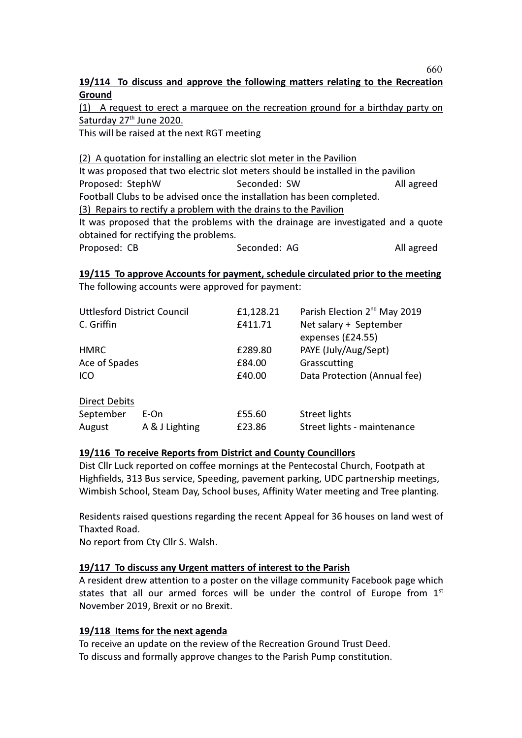## 19/114 To discuss and approve the following matters relating to the Recreation Ground

(1) A request to erect a marquee on the recreation ground for a birthday party on Saturday 27<sup>th</sup> June 2020.

This will be raised at the next RGT meeting

# (2) A quotation for installing an electric slot meter in the Pavilion It was proposed that two electric slot meters should be installed in the pavilion Proposed: StephW Seconded: SW All agreed Football Clubs to be advised once the installation has been completed. (3) Repairs to rectify a problem with the drains to the Pavilion It was proposed that the problems with the drainage are investigated and a quote obtained for rectifying the problems. Proposed: CB Seconded: AG All agreed

# 19/115 To approve Accounts for payment, schedule circulated prior to the meeting

The following accounts were approved for payment:

| <b>Uttlesford District Council</b><br>C. Griffin |                | £1,128.21<br>£411.71 | Parish Election 2 <sup>nd</sup> May 2019<br>Net salary + September<br>expenses (£24.55) |
|--------------------------------------------------|----------------|----------------------|-----------------------------------------------------------------------------------------|
| <b>HMRC</b>                                      |                | £289.80              | PAYE (July/Aug/Sept)                                                                    |
| Ace of Spades                                    |                | £84.00               | Grasscutting                                                                            |
| <b>ICO</b>                                       |                | £40.00               | Data Protection (Annual fee)                                                            |
|                                                  |                |                      |                                                                                         |
| <b>Direct Debits</b>                             |                |                      |                                                                                         |
| September                                        | E-On           | £55.60               | <b>Street lights</b>                                                                    |
| August                                           | A & J Lighting | £23.86               | Street lights - maintenance                                                             |

#### 19/116 To receive Reports from District and County Councillors

Dist Cllr Luck reported on coffee mornings at the Pentecostal Church, Footpath at Highfields, 313 Bus service, Speeding, pavement parking, UDC partnership meetings, Wimbish School, Steam Day, School buses, Affinity Water meeting and Tree planting.

Residents raised questions regarding the recent Appeal for 36 houses on land west of Thaxted Road.

No report from Cty Cllr S. Walsh.

### 19/117 To discuss any Urgent matters of interest to the Parish

A resident drew attention to a poster on the village community Facebook page which states that all our armed forces will be under the control of Europe from  $1<sup>st</sup>$ November 2019, Brexit or no Brexit.

### 19/118 Items for the next agenda

To receive an update on the review of the Recreation Ground Trust Deed. To discuss and formally approve changes to the Parish Pump constitution. 660